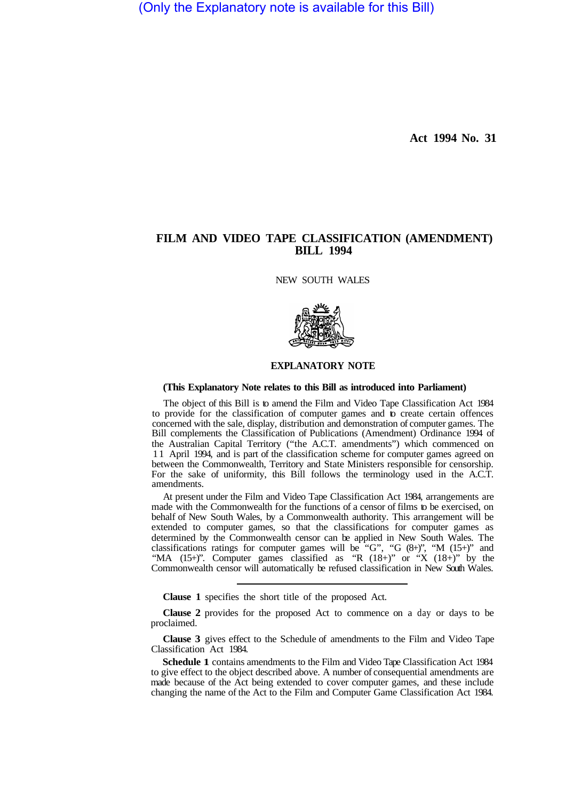(Only the Explanatory note is available for this Bill)

**Act 1994 No. 31** 

## **FILM AND VIDEO TAPE CLASSIFICATION (AMENDMENT) BILL 1994**

NEW SOUTH WALES



## **EXPLANATORY NOTE**

## **(This Explanatory Note relates to this Bill as introduced into Parliament)**

The object of this Bill is to amend the Film and Video Tape Classification Act 1984 to provide for the classification of computer games and to create certain offences concerned with the sale, display, distribution and demonstration of computer games. The Bill complements the Classification of Publications (Amendment) Ordinance 1994 of the Australian Capital Territory ("the A.C.T. amendments") which commenced on 1 1 April 1994, and is part of the classification scheme for computer games agreed on between the Commonwealth, Territory and State Ministers responsible for censorship. For the sake of uniformity, this Bill follows the terminology used in the A.C.T. amendments.

At present under the Film and Video Tape Classification Act 1984, arrangements are made with the Commonwealth for the functions of a censor of films to be exercised, on behalf of New South Wales, by a Commonwealth authority. This arrangement will be extended to computer games, so that the classifications for computer games as determined by the Commonwealth censor can be applied in New South Wales. The classifications ratings for computer games will be "G", "G  $(8+)$ ", "M  $(15+)$ " and "MA (15+)". Computer games classified as "R  $(18+)$ " or "X  $(18+)$ " by the Commonwealth censor will automatically be refused classification in New South Wales.

**Clause 1**  specifies the short title of the proposed Act.

**Clause 2**  provides for the proposed Act to commence on a day or days to be proclaimed.

**Clause 3**  gives effect to the Schedule of amendments to the Film and Video Tape Classification Act 1984.

**Schedule 1** contains amendments to the Film and Video Tape Classification Act 1984 to give effect to the object described above. A number of consequential amendments are made because of the Act being extended to cover computer games, and these include changing the name of the Act to the Film and Computer Game Classification Act 1984.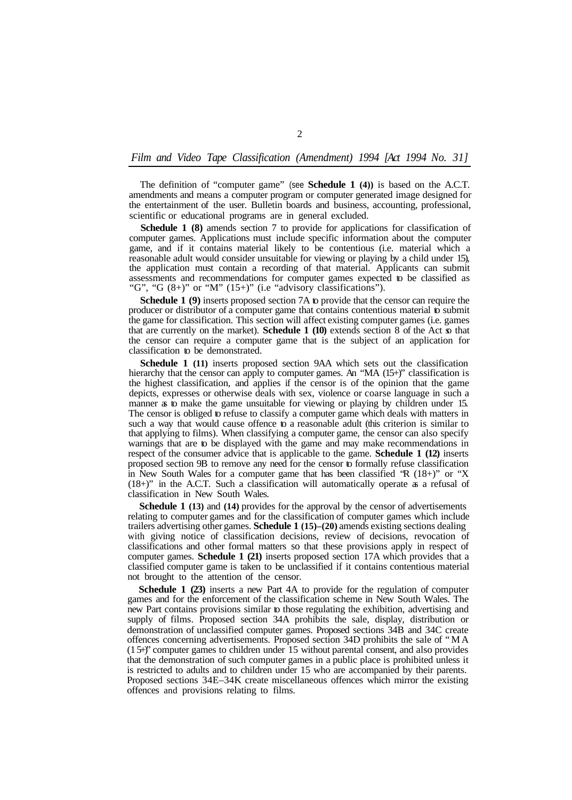## *Film and Video Tape Classification (Amendment) 1994 [Act 1994 No. 31]*

The definition of "computer game" (see **Schedule 1 (4))** is based on the A.C.T. amendments and means a computer program or computer generated image designed for the entertainment of the user. Bulletin boards and business, accounting, professional, scientific or educational programs are in general excluded.

**Schedule 1 (8)** amends section 7 to provide for applications for classification of computer games. Applications must include specific information about the computer game, and if it contains material likely to be contentious (i.e. material which a reasonable adult would consider unsuitable for viewing or playing by a child under 15), the application must contain a recording of that material. Applicants can submit assessments and recommendations for computer games expected to be classified as "G", "G  $(8+)$ " or "M"  $(15+)$ " (i.e "advisory classifications").

**Schedule 1 (9)** inserts proposed section 7A to provide that the censor can require the producer or distributor of a computer game that contains contentious material to submit the game for classification. This section will affect existing computer games (i.e. games that are currently on the market). **Schedule 1 (10)** extends section 8 of the Act so that the censor can require a computer game that is the subject of an application for classification to be demonstrated.

**Schedule 1 (11)** inserts proposed section 9AA which sets out the classification hierarchy that the censor can apply to computer games. An "MA (15+)" classification is the highest classification, and applies if the censor is of the opinion that the game depicts, expresses or otherwise deals with sex, violence or coarse language in such a manner as to make the game unsuitable for viewing or playing by children under 15. The censor is obliged to refuse to classify a computer game which deals with matters in such a way that would cause offence to a reasonable adult (this criterion is similar to that applying to films). When classifying a computer game, the censor can also specify warnings that are to be displayed with the game and may make recommendations in respect of the consumer advice that is applicable to the game. **Schedule 1 (12)** inserts proposed section 9B to remove any need for the censor to formally refuse classification in New South Wales for a computer game that has been classified "R (18+)" or "X (18+)" in the A.C.T. Such a classification will automatically operate as a refusal of classification in New South Wales.

**Schedule 1 (13)** and **(14)** provides for the approval by the censor of advertisements relating to computer games and for the classification of computer games which include trailers advertising other games. **Schedule 1 (15)–(20)** amends existing sections dealing with giving notice of classification decisions, review of decisions, revocation of classifications and other formal matters so that these provisions apply in respect of computer games. **Schedule 1 (21)** inserts proposed section 17A which provides that a classified computer game is taken to be unclassified if it contains contentious material not brought to the attention of the censor.

**Schedule 1 (23)** inserts a new Part 4A to provide for the regulation of computer games and for the enforcement of the classification scheme in New South Wales. The new Part contains provisions similar to those regulating the exhibition, advertising and supply of films. Proposed section 34A prohibits the sale, display, distribution or demonstration of unclassified computer games. Proposed sections 34B and 34C create offences concerning advertisements. Proposed section 34D prohibits the sale of "MA (1 5+)" computer games to children under 15 without parental consent, and also provides that the demonstration of such computer games in a public place is prohibited unless it is restricted to adults and to children under 15 who are accompanied by their parents. Proposed sections 34E–34K create miscellaneous offences which mirror the existing offences and provisions relating to films.